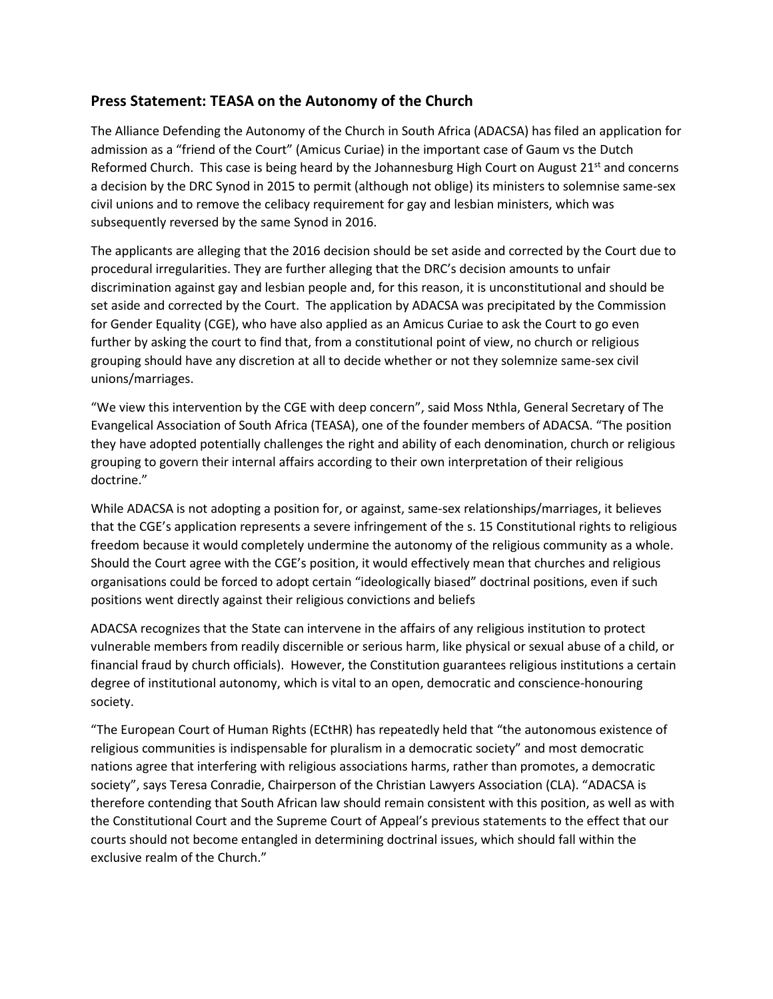## **Press Statement: TEASA on the Autonomy of the Church**

The Alliance Defending the Autonomy of the Church in South Africa (ADACSA) has filed an application for admission as a "friend of the Court" (Amicus Curiae) in the important case of Gaum vs the Dutch Reformed Church. This case is being heard by the Johannesburg High Court on August  $21<sup>st</sup>$  and concerns a decision by the DRC Synod in 2015 to permit (although not oblige) its ministers to solemnise same-sex civil unions and to remove the celibacy requirement for gay and lesbian ministers, which was subsequently reversed by the same Synod in 2016.

The applicants are alleging that the 2016 decision should be set aside and corrected by the Court due to procedural irregularities. They are further alleging that the DRC's decision amounts to unfair discrimination against gay and lesbian people and, for this reason, it is unconstitutional and should be set aside and corrected by the Court. The application by ADACSA was precipitated by the Commission for Gender Equality (CGE), who have also applied as an Amicus Curiae to ask the Court to go even further by asking the court to find that, from a constitutional point of view, no church or religious grouping should have any discretion at all to decide whether or not they solemnize same-sex civil unions/marriages.

"We view this intervention by the CGE with deep concern", said Moss Nthla, General Secretary of The Evangelical Association of South Africa (TEASA), one of the founder members of ADACSA. "The position they have adopted potentially challenges the right and ability of each denomination, church or religious grouping to govern their internal affairs according to their own interpretation of their religious doctrine."

While ADACSA is not adopting a position for, or against, same-sex relationships/marriages, it believes that the CGE's application represents a severe infringement of the s. 15 Constitutional rights to religious freedom because it would completely undermine the autonomy of the religious community as a whole. Should the Court agree with the CGE's position, it would effectively mean that churches and religious organisations could be forced to adopt certain "ideologically biased" doctrinal positions, even if such positions went directly against their religious convictions and beliefs

ADACSA recognizes that the State can intervene in the affairs of any religious institution to protect vulnerable members from readily discernible or serious harm, like physical or sexual abuse of a child, or financial fraud by church officials). However, the Constitution guarantees religious institutions a certain degree of institutional autonomy, which is vital to an open, democratic and conscience-honouring society.

"The European Court of Human Rights (ECtHR) has repeatedly held that "the autonomous existence of religious communities is indispensable for pluralism in a democratic society" and most democratic nations agree that interfering with religious associations harms, rather than promotes, a democratic society", says Teresa Conradie, Chairperson of the Christian Lawyers Association (CLA). "ADACSA is therefore contending that South African law should remain consistent with this position, as well as with the Constitutional Court and the Supreme Court of Appeal's previous statements to the effect that our courts should not become entangled in determining doctrinal issues, which should fall within the exclusive realm of the Church."